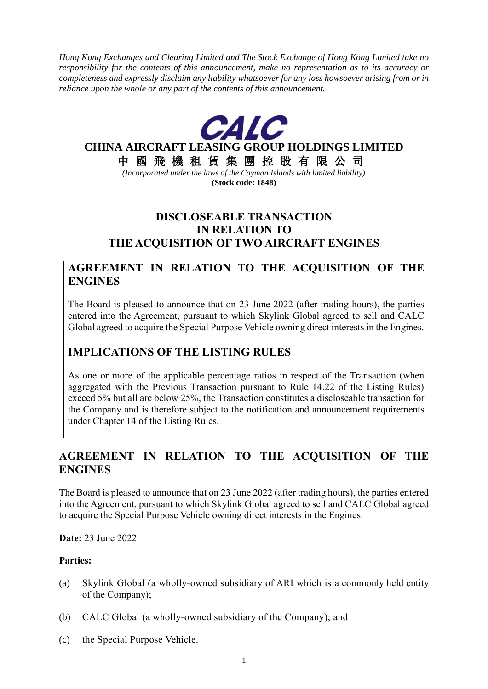*Hong Kong Exchanges and Clearing Limited and The Stock Exchange of Hong Kong Limited take no responsibility for the contents of this announcement, make no representation as to its accuracy or completeness and expressly disclaim any liability whatsoever for any loss howsoever arising from or in reliance upon the whole or any part of the contents of this announcement.*



## **CHINA AIRCRAFT LEASING GROUP HOLDINGS LIMITED**

中 國 飛 機 租 賃 集 團 控 股 有 限 公 司

*(Incorporated under the laws of the Cayman Islands with limited liability)* **(Stock code: 1848)**

## **DISCLOSEABLE TRANSACTION IN RELATION TO THE ACQUISITION OF TWO AIRCRAFT ENGINES**

### **AGREEMENT IN RELATION TO THE ACQUISITION OF THE ENGINES**

The Board is pleased to announce that on 23 June 2022 (after trading hours), the parties entered into the Agreement, pursuant to which Skylink Global agreed to sell and CALC Global agreed to acquire the Special Purpose Vehicle owning direct interests in the Engines.

# **IMPLICATIONS OF THE LISTING RULES**

As one or more of the applicable percentage ratios in respect of the Transaction (when aggregated with the Previous Transaction pursuant to Rule 14.22 of the Listing Rules) exceed 5% but all are below 25%, the Transaction constitutes a discloseable transaction for the Company and is therefore subject to the notification and announcement requirements under Chapter 14 of the Listing Rules.

## **AGREEMENT IN RELATION TO THE ACQUISITION OF THE ENGINES**

The Board is pleased to announce that on 23 June 2022 (after trading hours), the parties entered into the Agreement, pursuant to which Skylink Global agreed to sell and CALC Global agreed to acquire the Special Purpose Vehicle owning direct interests in the Engines.

**Date:** 23 June 2022

#### **Parties:**

- (a) Skylink Global (a wholly-owned subsidiary of ARI which is a commonly held entity of the Company);
- (b) CALC Global (a wholly-owned subsidiary of the Company); and
- (c) the Special Purpose Vehicle.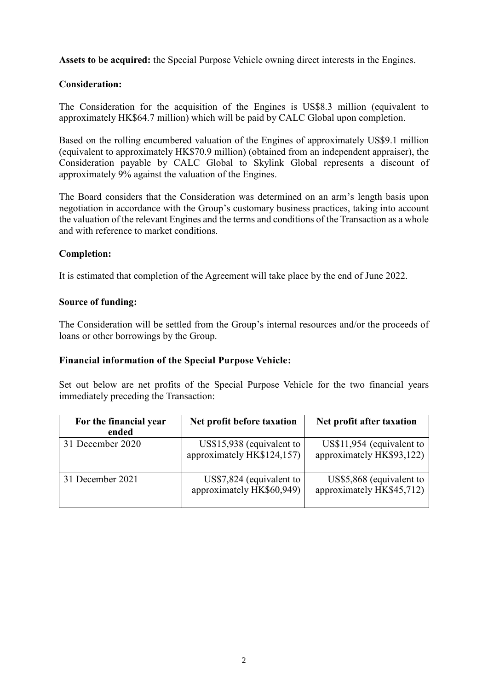**Assets to be acquired:** the Special Purpose Vehicle owning direct interests in the Engines.

#### **Consideration:**

The Consideration for the acquisition of the Engines is US\$8.3 million (equivalent to approximately HK\$64.7 million) which will be paid by CALC Global upon completion.

Based on the rolling encumbered valuation of the Engines of approximately US\$9.1 million (equivalent to approximately HK\$70.9 million) (obtained from an independent appraiser), the Consideration payable by CALC Global to Skylink Global represents a discount of approximately 9% against the valuation of the Engines.

The Board considers that the Consideration was determined on an arm's length basis upon negotiation in accordance with the Group's customary business practices, taking into account the valuation of the relevant Engines and the terms and conditions of the Transaction as a whole and with reference to market conditions.

#### **Completion:**

It is estimated that completion of the Agreement will take place by the end of June 2022.

#### **Source of funding:**

The Consideration will be settled from the Group's internal resources and/or the proceeds of loans or other borrowings by the Group.

#### **Financial information of the Special Purpose Vehicle:**

Set out below are net profits of the Special Purpose Vehicle for the two financial years immediately preceding the Transaction:

| For the financial year<br>ended | Net profit before taxation                               | Net profit after taxation                              |
|---------------------------------|----------------------------------------------------------|--------------------------------------------------------|
| 31 December 2020                | $US$15,938$ (equivalent to<br>approximately HK\$124,157) | US\$11,954 (equivalent to<br>approximately HK\$93,122) |
| 31 December 2021                | US\$7,824 (equivalent to<br>approximately HK\$60,949)    | US\$5,868 (equivalent to<br>approximately HK\$45,712)  |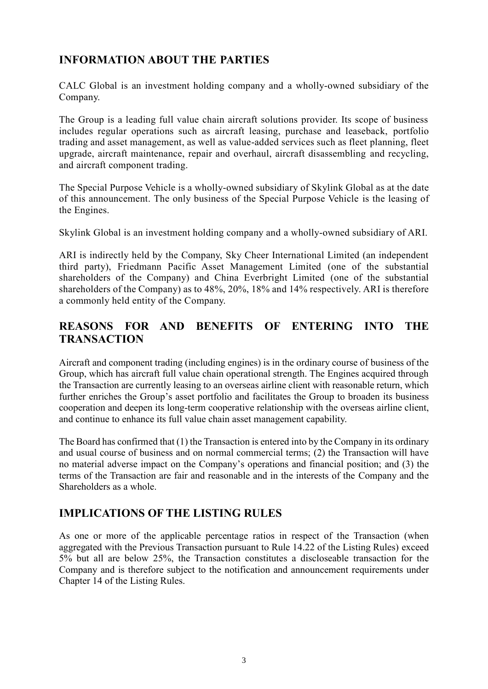# **INFORMATION ABOUT THE PARTIES**

CALC Global is an investment holding company and a wholly-owned subsidiary of the Company.

The Group is a leading full value chain aircraft solutions provider. Its scope of business includes regular operations such as aircraft leasing, purchase and leaseback, portfolio trading and asset management, as well as value-added services such as fleet planning, fleet upgrade, aircraft maintenance, repair and overhaul, aircraft disassembling and recycling, and aircraft component trading.

The Special Purpose Vehicle is a wholly-owned subsidiary of Skylink Global as at the date of this announcement. The only business of the Special Purpose Vehicle is the leasing of the Engines.

Skylink Global is an investment holding company and a wholly-owned subsidiary of ARI.

ARI is indirectly held by the Company, Sky Cheer International Limited (an independent third party), Friedmann Pacific Asset Management Limited (one of the substantial shareholders of the Company) and China Everbright Limited (one of the substantial shareholders of the Company) as to 48%, 20%, 18% and 14% respectively. ARI is therefore a commonly held entity of the Company.

## **REASONS FOR AND BENEFITS OF ENTERING INTO THE TRANSACTION**

Aircraft and component trading (including engines) is in the ordinary course of business of the Group, which has aircraft full value chain operational strength. The Engines acquired through the Transaction are currently leasing to an overseas airline client with reasonable return, which further enriches the Group's asset portfolio and facilitates the Group to broaden its business cooperation and deepen its long-term cooperative relationship with the overseas airline client, and continue to enhance its full value chain asset management capability.

The Board has confirmed that (1) the Transaction is entered into by the Company in its ordinary and usual course of business and on normal commercial terms; (2) the Transaction will have no material adverse impact on the Company's operations and financial position; and (3) the terms of the Transaction are fair and reasonable and in the interests of the Company and the Shareholders as a whole.

# **IMPLICATIONS OF THE LISTING RULES**

As one or more of the applicable percentage ratios in respect of the Transaction (when aggregated with the Previous Transaction pursuant to Rule 14.22 of the Listing Rules) exceed 5% but all are below 25%, the Transaction constitutes a discloseable transaction for the Company and is therefore subject to the notification and announcement requirements under Chapter 14 of the Listing Rules.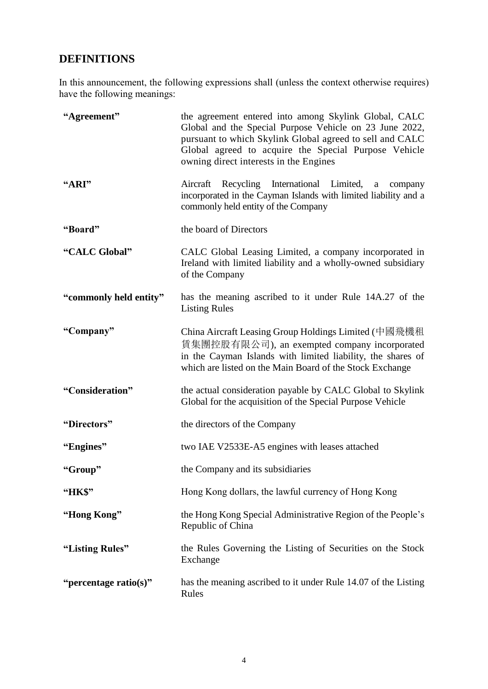# **DEFINITIONS**

In this announcement, the following expressions shall (unless the context otherwise requires) have the following meanings:

| "Agreement"            | the agreement entered into among Skylink Global, CALC<br>Global and the Special Purpose Vehicle on 23 June 2022,<br>pursuant to which Skylink Global agreed to sell and CALC<br>Global agreed to acquire the Special Purpose Vehicle<br>owning direct interests in the Engines |
|------------------------|--------------------------------------------------------------------------------------------------------------------------------------------------------------------------------------------------------------------------------------------------------------------------------|
| "ARI"                  | Recycling International Limited,<br>Aircraft<br>a<br>company<br>incorporated in the Cayman Islands with limited liability and a<br>commonly held entity of the Company                                                                                                         |
| "Board"                | the board of Directors                                                                                                                                                                                                                                                         |
| "CALC Global"          | CALC Global Leasing Limited, a company incorporated in<br>Ireland with limited liability and a wholly-owned subsidiary<br>of the Company                                                                                                                                       |
| "commonly held entity" | has the meaning ascribed to it under Rule 14A.27 of the<br><b>Listing Rules</b>                                                                                                                                                                                                |
| "Company"              | China Aircraft Leasing Group Holdings Limited (中國飛機租<br>賃集團控股有限公司), an exempted company incorporated<br>in the Cayman Islands with limited liability, the shares of<br>which are listed on the Main Board of the Stock Exchange                                                |
| "Consideration"        | the actual consideration payable by CALC Global to Skylink<br>Global for the acquisition of the Special Purpose Vehicle                                                                                                                                                        |
| "Directors"            | the directors of the Company                                                                                                                                                                                                                                                   |
| "Engines"              | two IAE V2533E-A5 engines with leases attached                                                                                                                                                                                                                                 |
| "Group"                | the Company and its subsidiaries                                                                                                                                                                                                                                               |
| <b>"HK\$"</b>          | Hong Kong dollars, the lawful currency of Hong Kong                                                                                                                                                                                                                            |
| "Hong Kong"            | the Hong Kong Special Administrative Region of the People's<br>Republic of China                                                                                                                                                                                               |
| "Listing Rules"        | the Rules Governing the Listing of Securities on the Stock<br>Exchange                                                                                                                                                                                                         |
| "percentage ratio(s)"  | has the meaning ascribed to it under Rule 14.07 of the Listing<br>Rules                                                                                                                                                                                                        |